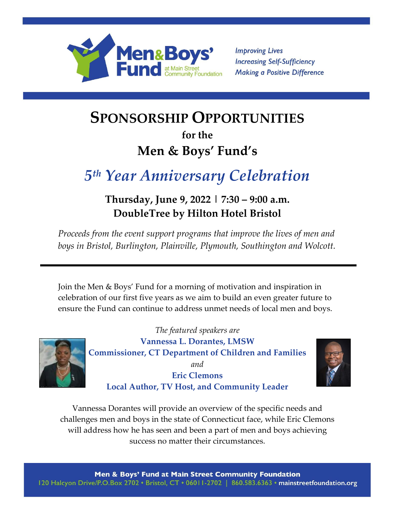

**Improving Lives Increasing Self-Sufficiency Making a Positive Difference** 

# **SPONSORSHIP OPPORTUNITIES**

# **for the Men & Boys' Fund's**

# *5 th Year Anniversary Celebration*

## **Thursday, June 9, 2022 | 7:30 – 9:00 a.m. DoubleTree by Hilton Hotel Bristol**

*Proceeds from the event support programs that improve the lives of men and boys in Bristol, Burlington, Plainville, Plymouth, Southington and Wolcott.*

Join the Men & Boys' Fund for a morning of motivation and inspiration in celebration of our first five years as we aim to build an even greater future to ensure the Fund can continue to address unmet needs of local men and boys.



*The featured speakers are* **Vannessa L. Dorantes, LMSW Commissioner, CT Department of Children and Families** *and* **Eric Clemons Local Author, TV Host, and Community Leader**



Vannessa Dorantes will provide an overview of the specific needs and challenges men and boys in the state of Connecticut face, while Eric Clemons will address how he has seen and been a part of men and boys achieving success no matter their circumstances.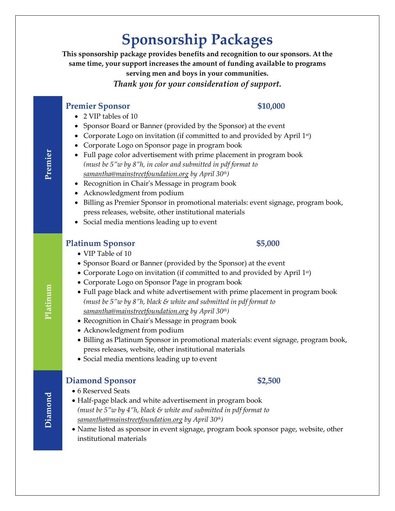# **Sponsorship Packages**

**This sponsorship package provides benefits and recognition to our sponsors. At the same time, your support increases the amount of funding available to programs serving men and boys in your communities.**

*Thank you for your consideration of support.*

### **Premier** Sponsor \$10,000

- 2 VIP tables of 10
- Sponsor Board or Banner (provided by the Sponsor) at the event
- Corporate Logo on invitation (if committed to and provided by April 1st)
- Corporate Logo on Sponsor page in program book
- Full page color advertisement with prime placement in program book *(must be 5"w by 8"h, in color and submitted in pdf format to [samantha@mainstreetfoundation.org](about:blank) by April 30th)*
- Recognition in Chair's Message in program book
- Acknowledgment from podium
- Billing as Premier Sponsor in promotional materials: event signage, program book, press releases, website, other institutional materials
- Social media mentions leading up to event

## **Platinum Sponsor \$5,000**

### VIP Table of 10

- Sponsor Board or Banner (provided by the Sponsor) at the event
- Corporate Logo on invitation (if committed to and provided by April 1st)
- Corporate Logo on Sponsor Page in program book
- Full page black and white advertisement with prime placement in program book *(must be 5"w by 8"h, black & white and submitted in pdf format to [samantha@mainstreetfoundation.org](about:blank) by April 30th)*
- Recognition in Chair's Message in program book
- Acknowledgment from podium
- Billing as Platinum Sponsor in promotional materials: event signage, program book, press releases, website, other institutional materials
- Social media mentions leading up to event

## **Diamond Sponsor** \$2,500

- 6 Reserved Seats
- Half-page black and white advertisement in program book *(must be 5"w by 4"h, black & white and submitted in pdf format to [samantha@mainstreetfoundation.org](about:blank) by April 30th)*
- Name listed as sponsor in event signage, program book sponsor page, website, other institutional materials

# **Premier**

**Platinum**